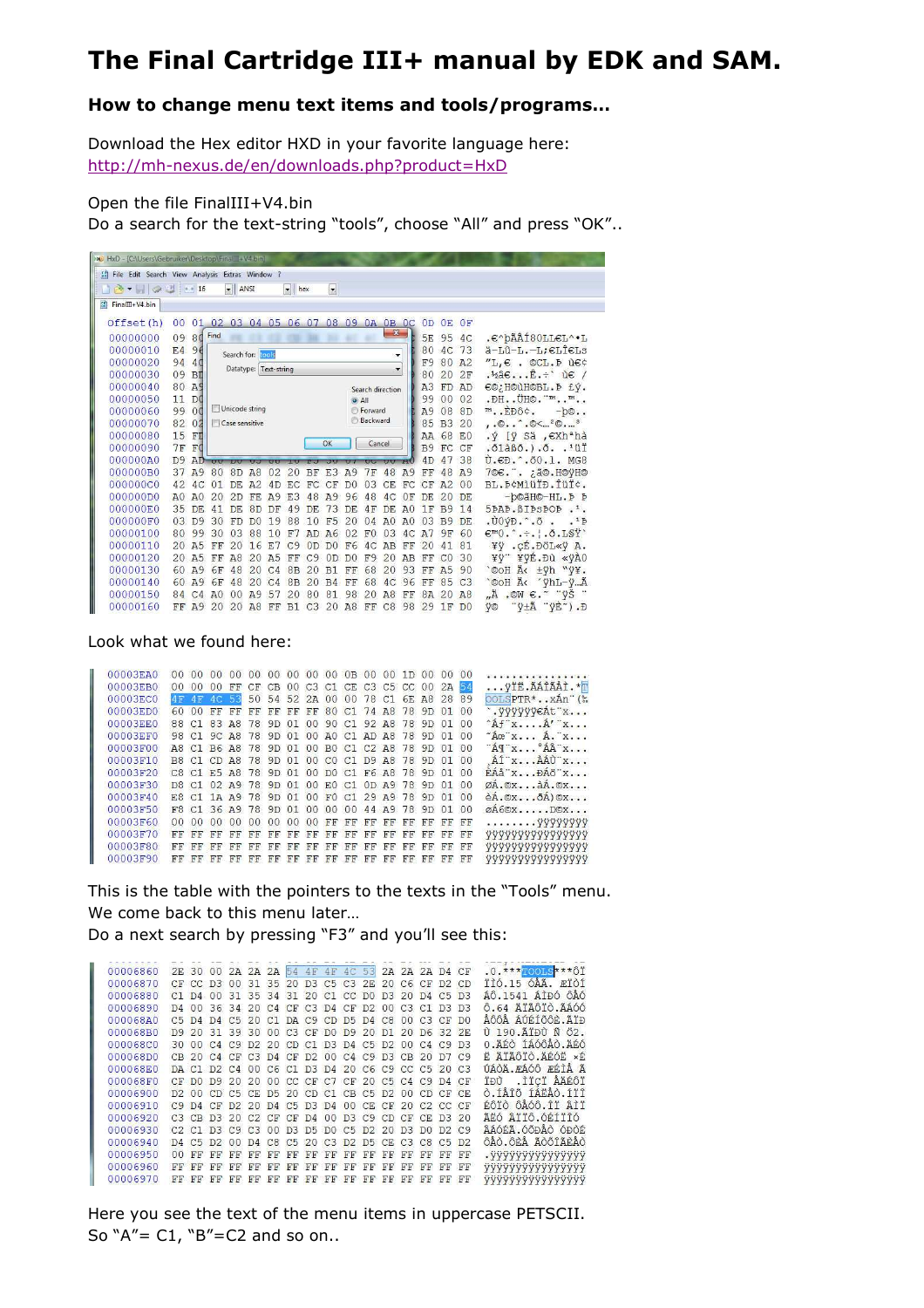## The Final Cartridge III+ manual by EDK and SAM.

## **How to change menu text items and tools/programs…**

Download the Hex editor HXD in your favorite language here: http://mh-nexus.de/en/downloads.php?product=HxD

Open the file FinalIII+V4.bin

Do a search for the text-string "tools", choose "All" and press "OK"..

| NO HxD - [C:\Users\Gebruiker\Desktop\FinalIII+V4.bin]                                                                     |                                                                                                                                             |                |                |                                                                                                                                  |                |                |                |                |                |                |                 |                  |                |                                |                |                |                                                                                                |
|---------------------------------------------------------------------------------------------------------------------------|---------------------------------------------------------------------------------------------------------------------------------------------|----------------|----------------|----------------------------------------------------------------------------------------------------------------------------------|----------------|----------------|----------------|----------------|----------------|----------------|-----------------|------------------|----------------|--------------------------------|----------------|----------------|------------------------------------------------------------------------------------------------|
| [8] File Edit Search View Analysis Extras Window ?                                                                        |                                                                                                                                             |                |                |                                                                                                                                  |                |                |                |                |                |                |                 |                  |                |                                |                |                |                                                                                                |
| $\blacktriangleright$ ANSI<br>$\frac{1}{2}$ + $\frac{1}{2}$ + 16<br>$\blacktriangleright$ hex<br>$\overline{\phantom{a}}$ |                                                                                                                                             |                |                |                                                                                                                                  |                |                |                |                |                |                |                 |                  |                |                                |                |                |                                                                                                |
| 581<br>FinalIII+V4.bin                                                                                                    |                                                                                                                                             |                |                |                                                                                                                                  |                |                |                |                |                |                |                 |                  |                |                                |                |                |                                                                                                |
| Offset(h)                                                                                                                 | 08<br>01<br>03 04<br>06<br>07<br>09<br>0A<br>OB<br>$_{0c}$<br>00<br>02<br>05<br>OD<br>0E<br>$\mathbf{x}$<br>Find<br>09 80<br>00000000<br>5E |                |                |                                                                                                                                  |                |                |                |                |                |                |                 |                  |                |                                |                | 0F             |                                                                                                |
|                                                                                                                           |                                                                                                                                             |                |                |                                                                                                                                  |                |                |                |                |                |                |                 |                  |                |                                | 95             | 4C             | .e^bÃÂÍ8OLLEL^.L                                                                               |
| 00000010                                                                                                                  | E4                                                                                                                                          | 96             |                |                                                                                                                                  |                |                |                |                |                |                |                 |                  |                | 80                             | 4 <sup>c</sup> | 73             | $a-L0-L,-L$ ; $\epsilon$ LÎ $\epsilon$ Ls                                                      |
| 00000020                                                                                                                  | 94                                                                                                                                          | 40             |                | Search for: tools<br>٠<br>$"L, \in .$ OCL. P ù $\in \diamond$<br>F <sub>9</sub><br>80<br>A <sub>2</sub><br>Datatype: Text-string |                |                |                |                |                |                |                 |                  |                |                                |                |                |                                                                                                |
| 00000030                                                                                                                  | 09                                                                                                                                          | BI             |                |                                                                                                                                  |                |                |                |                |                |                |                 |                  |                | 80                             | 20             | 2F             | $\cdot$ <sup>2</sup> a $\in$ $\hat{E}$ u $\in$ /                                               |
| 00000040                                                                                                                  | 80 A9                                                                                                                                       |                |                |                                                                                                                                  |                |                |                |                |                |                |                 | Search direction |                | A <sub>3</sub>                 | FD             | AD.            | €©; H©ùH©BL. Þ £ý.                                                                             |
| 00000050                                                                                                                  | 11                                                                                                                                          | DO             |                |                                                                                                                                  |                |                |                |                |                | $O$ All        |                 |                  |                | 99                             | 00             | 02             | .DH. . ÜH©. "m. . m                                                                            |
| 00000060                                                                                                                  | 99                                                                                                                                          | 00             |                | Unicode string                                                                                                                   |                |                |                |                |                |                | <b>Forward</b>  |                  |                | A9                             | 08             | 8D             | m. EĐÔ¢.<br>$-b©$ .                                                                            |
| 00000070                                                                                                                  | 82                                                                                                                                          | 02             |                | Case sensitive                                                                                                                   |                |                |                |                |                |                | <b>Backward</b> |                  |                | 85                             | B <sub>3</sub> | 20             | $, . \odot \odot < ^{2} \odot ^{3}$                                                            |
| 00000080                                                                                                                  | 15 FT                                                                                                                                       |                |                |                                                                                                                                  |                |                |                |                |                |                |                 | AA 68            | E <sub>0</sub> | $\sqrt{V}$ [ÿ Sä , $\in$ Xh*hà |                |                |                                                                                                |
| 00000090                                                                                                                  | $7F$ $F$ <sup><math>d</math></sup>                                                                                                          |                |                |                                                                                                                                  |                |                |                |                | OK             |                | Cancel          |                  |                | B9                             | FC CF          |                | $.01\hat{a}B0.$ , $.0.1\hat{u}I$                                                               |
| 000000A0                                                                                                                  |                                                                                                                                             | $D9$ $AD$      |                | <b>TOTAL</b>                                                                                                                     |                | $\overline{C}$ |                |                |                |                |                 |                  |                | 4D                             | 47             | 38             | Ù.€Đ. 00.1. MG8                                                                                |
| 000000B0                                                                                                                  | 37                                                                                                                                          | A9             | 80             | 8D                                                                                                                               | A8             | 02             | 20             | BF             | E.3            | A9             | 7F              | 48               | A9             | FF                             | 48             | A9             | 7©€.". ¿ã©. H©ÿH©                                                                              |
| 000000C0                                                                                                                  | 42                                                                                                                                          | AC             | 01             | DE.                                                                                                                              | A2             | 4D             | F.C.           | FC CF          |                | D <sub>0</sub> | 03              | CE.              | FC             | $CF$ $A2$                      |                | 0 <sup>0</sup> | BL. Þ¢MìüÏĐ. ÎüÏċ.                                                                             |
| 000000D0                                                                                                                  | A()                                                                                                                                         | A()            | 20             | 2D                                                                                                                               | FE.            | A9             | E <sub>3</sub> | 48             | A9             | 96             | 48              | 4C               | 0F             | <b>DE</b>                      | 20             | DE.            | -b©ãH©-HL.P P                                                                                  |
| 000000E0                                                                                                                  | 35                                                                                                                                          | DE             | 41             | DE.                                                                                                                              | 8 <sub>D</sub> | DF             | 49             | DE             | 73             | DE.            | 4F              | DE               | A <sub>0</sub> | <b>1F B9</b>                   |                | 14             | 5PAP. BIPSPOP. <sup>1</sup> .                                                                  |
| 000000F0                                                                                                                  | 0.3                                                                                                                                         | D <sub>9</sub> | 30             | FD                                                                                                                               | D <sub>0</sub> | 19             | 88             | 10             | F <sub>5</sub> | 20             | 04              | A <sub>0</sub>   | A <sub>0</sub> | 03                             | <b>B9</b>      | <b>DE</b>      | $.00\hat{v}$ $\hat{v}$ $\hat{\circ}$ $.00$<br>.1 <sub>b</sub>                                  |
| 00000100                                                                                                                  | 80                                                                                                                                          | 99             | 30             | 0.3                                                                                                                              | 88             | 10             | F7             |                | AD A6          | 02             | F0              | 03               | 4C             | A7                             | 9F             | 60             | $\varepsilon = 0$ . $\div$ . $\div$ . $\delta$ . LSY                                           |
| 00000110                                                                                                                  | $20^{\circ}$                                                                                                                                | A <sub>5</sub> | FF             | 20                                                                                                                               | 16             | F.7            | C <sub>9</sub> | OD             | D <sub>0</sub> | F <sub>6</sub> | 4 <sup>C</sup>  | AB               | FF             | 20                             | 41             | 81             | ¥ÿ . ÇÉ. ĐÖL«ÿ A.                                                                              |
| 00000120                                                                                                                  |                                                                                                                                             | 20 A5          | FF             | A8                                                                                                                               | 20             | A <sub>5</sub> | FF             | C <sub>9</sub> | OD             | D <sub>0</sub> | F <sub>9</sub>  | 20               | AB             | FF                             | CO             | 30             | ¥ÿ"¥ÿÉ.ĐÙ «ÿÀO                                                                                 |
| 00000130                                                                                                                  | 60                                                                                                                                          | A9             | 6F             | 48                                                                                                                               | 20             | C <sub>4</sub> | 8 <sub>B</sub> | 20             | B1             | FF             | 68              | 20               | 93             | FF                             | A <sub>5</sub> | 90             | '©OH Ä< ±ÿh "ÿ¥.                                                                               |
| 00000140                                                                                                                  | 60                                                                                                                                          | <b>A9</b>      | 6F             | 48                                                                                                                               | 20             | C <sub>4</sub> | 8 <sub>B</sub> | 20             | B <sub>4</sub> | FF             | 68              | AC               | 96             | FF                             | 85             | C <sub>3</sub> | `©OH A< 'yhL-yA                                                                                |
| 00000150                                                                                                                  | 84                                                                                                                                          | C <sub>4</sub> | A <sub>0</sub> | 00                                                                                                                               | A9             | 57             | 20             | 80             | 81             | 98             | 20              | A8               | FF             | 8A 20                          |                | A8             | $\mu$ Ä.OW $\epsilon$ . $\forall$ Š                                                            |
| 00000160                                                                                                                  | FF                                                                                                                                          | <b>49</b>      | 20             | 20                                                                                                                               | A8             | FF             | B1             |                |                | C320AB         | FF              | C8               | 98             | 29 1F                          |                | D <sub>0</sub> | $\overline{y} \pm \tilde{A}$ $\overline{y} \overline{E}$ $\overline{y}$ . $\overline{D}$<br>ÿ© |

Look what we found here:

| 00003EAD | 00 <sup>o</sup> |    |                 |            |         |             |                   |                |                                                    |          |    |     |    |                   |                                           |                                                                                                                                                                                                                                                                                                                                                                            | <b>SEE DISTRICTS LIGHT DIST</b>                                                                       |
|----------|-----------------|----|-----------------|------------|---------|-------------|-------------------|----------------|----------------------------------------------------|----------|----|-----|----|-------------------|-------------------------------------------|----------------------------------------------------------------------------------------------------------------------------------------------------------------------------------------------------------------------------------------------------------------------------------------------------------------------------------------------------------------------------|-------------------------------------------------------------------------------------------------------|
| 00003EB0 |                 | 00 | 00              |            |         |             |                   |                |                                                    |          |    |     |    |                   |                                           |                                                                                                                                                                                                                                                                                                                                                                            | ÿÏË.ÃÁÎÃÅÌ.*T                                                                                         |
| 00003EC0 | 4F              | 4F |                 |            |         |             |                   |                |                                                    |          |    |     |    |                   |                                           |                                                                                                                                                                                                                                                                                                                                                                            | $OOLSPTR$ * $XAn$ (%)                                                                                 |
| 00003ED0 | 60              | 00 | FF              | FF         | FF      | FF          |                   | FF             |                                                    |          |    |     |    | 9D                | 01                                        | 0 <sup>0</sup>                                                                                                                                                                                                                                                                                                                                                             | `. ÿÿÿÿÿ€Át"x                                                                                         |
| 00003EE0 |                 |    |                 |            |         |             |                   |                |                                                    |          |    |     |    |                   |                                           | 00                                                                                                                                                                                                                                                                                                                                                                         | $\hat{A}$ f $\hat{x}$ $\hat{A}'$ $\hat{x}$                                                            |
| 00003EF0 |                 |    |                 |            |         |             |                   |                |                                                    |          |    |     |    |                   |                                           | 00                                                                                                                                                                                                                                                                                                                                                                         | $Ace$ <sup>x</sup> $\overline{A}$ . x                                                                 |
| 00003F00 |                 |    |                 |            |         |             |                   |                |                                                    |          |    |     |    |                   |                                           | 0 <sup>0</sup>                                                                                                                                                                                                                                                                                                                                                             | $A^T X$ $A^T X$                                                                                       |
| 00003F10 |                 |    |                 |            |         |             |                   |                |                                                    |          |    |     |    |                   |                                           |                                                                                                                                                                                                                                                                                                                                                                            | $A\acute{I}$ $X$ $A\acute{A}\acute{U}$ $X$                                                            |
| 00003F20 |                 |    |                 |            |         |             |                   |                |                                                    |          |    |     |    |                   |                                           | 00                                                                                                                                                                                                                                                                                                                                                                         | EAA''xDAO''x                                                                                          |
| 00003F30 |                 |    |                 |            |         |             |                   |                |                                                    |          |    |     |    |                   |                                           | 0 <sup>0</sup>                                                                                                                                                                                                                                                                                                                                                             | $\emptyset$ A. $\mathbb{O}$ x $\lambda$ A. $\mathbb{O}$ x                                             |
| 00003F40 |                 |    |                 |            |         |             |                   |                |                                                    |          |    |     |    |                   |                                           | 0 <sup>0</sup>                                                                                                                                                                                                                                                                                                                                                             | $\hat{e}$ A. $\circ$ x $\delta$ A) $\circ$ x                                                          |
| 00003F50 |                 |    |                 |            |         |             |                   |                |                                                    |          |    |     |    |                   |                                           | 0 <sup>0</sup>                                                                                                                                                                                                                                                                                                                                                             | $\emptyset$ A6© $X$ $D$ © $X$                                                                         |
| 00003F60 |                 | 00 | 00              | 00         | 00      | 00          | 0 <sup>0</sup>    | 0 <sup>0</sup> | FF                                                 |          |    |     |    |                   | FF                                        | FF                                                                                                                                                                                                                                                                                                                                                                         |                                                                                                       |
| 00003F70 | FF              | FF | FF              | FF         | FF      | FF          |                   |                |                                                    |          |    |     |    |                   |                                           | FF                                                                                                                                                                                                                                                                                                                                                                         | <b><i><u>VYYYYYYYYYYYYYYY</u></i></b>                                                                 |
| 00003F80 | FF              |    | FF              | FF         | FF      | FF          |                   | FF             |                                                    |          |    |     |    | FF                |                                           | FF                                                                                                                                                                                                                                                                                                                                                                         | <b>VVVVVVVVVVVVVVV</b>                                                                                |
| 00003F90 | FF              | FF | FF              | FF         | FF      | FF          | FF                | FF             | FF                                                 | FF       | FF | FF  | FF | FF                | FF                                        | FF                                                                                                                                                                                                                                                                                                                                                                         | <b><i><u>YYYYYYYYYYYYYYY</u></i></b>                                                                  |
|          |                 |    | 88 C1<br>$00 -$ | 0000<br>FF | $4C$ 53 | FF<br>83 A8 | F8 C1 36 A9 78 9D | FF<br>FF<br>FF | B8 C1 CD A8 78 9D 01<br>C8 C1 E5 A8 78 9D 01<br>FF | FF<br>FF |    | FF. |    | FF FF<br>FF FF FF | 80 C1 74 A8 78<br>FF<br>FF FF FF FF<br>FF | CF CB 00 C3 C1 CE C3 C5 CC 00 2A<br>78 9D 01 00 90 C1 92 A8 78 9D 01<br>98 C1 9C A8 78 9D 01 00 A0 C1 AD A8 78 9D 01<br>A8 C1 B6 A8 78 9D 01 00 B0 C1 C2 A8 78 9D<br>01<br>00 CO C1 D9 A8 78 9D 01<br>00 DO C1 F6 A8 78 9D 01<br>D8 C1 02 A9 78 9D 01 00 E0 C1 0D A9 78 9D 01<br>E8 C1 1A A9 78 9D 01 00 F0 C1 29 A9 78 9D 01<br>01 00 00 00 44 A9 78 9D<br>01<br>日日<br>FF | 00 00 00 00 00 00 0B 00 00 1D 00 00 00<br>54<br>50 54 52 2A 00 00 78 C1 6E A8 28 89<br>00<br>FF<br>FF |

This is the table with the pointers to the texts in the "Tools" menu. We come back to this menu later…

Do a next search by pressing "F3" and you'll see this:

| 00006860 |    |    |    |             |           | 2E 30 00 2A 2A 2A 54 4F 4F 4C 53 2A 2A 2A D4 CF                             |    |             |    |    |           |           |    |    |         |    | $.0.***$ TOOLS *** $\hat{O}$ Ï        |
|----------|----|----|----|-------------|-----------|-----------------------------------------------------------------------------|----|-------------|----|----|-----------|-----------|----|----|---------|----|---------------------------------------|
| 00006870 |    |    |    |             |           | CF CC D3 00 31 35 20 D3 C5 C3 2E 20 C6 CF D2 CD                             |    |             |    |    |           |           |    |    |         |    | ÏÌÓ.15 ÓÅÃ. ÆÏÒÍ                      |
| 00006880 |    |    |    |             |           | $C1$ D4 00 31 35 34 31 20 C1 CC D0 D3 20 D4 C5 D3                           |    |             |    |    |           |           |    |    |         |    | ÁÔ.1541 ÁÌĐÓ ÔÅÓ                      |
| 00006890 |    |    |    |             |           | D4 00 36 34 20 C4 CF C3 D4 CF D2 00 C3 C1 D3 D3                             |    |             |    |    |           |           |    |    |         |    | Ô.64 ÄÏÃÔÏÒ.ÃÁÓÓ                      |
| 000068A0 |    |    |    |             |           | C5 D4 D4 C5 20 C1 DA C9 CD D5 D4 C8 00 C3                                   |    |             |    |    |           |           |    |    | $CF$ DO |    | AÔÔA AUETÕÔE, ATĐ                     |
| 000068B0 |    |    |    |             |           | D9 20 31 39 30 00 C3 CF D0 D9 20 D1 20 D6 32 2E                             |    |             |    |    |           |           |    |    |         |    | U 190. ATAU N 02.                     |
| 000068C0 |    |    |    |             |           | 30 00 C4 C9 D2 20 CD C1 D3 D4 C5 D2 00 C4 C9 D3                             |    |             |    |    |           |           |    |    |         |    | 0. ÄÉÒ TÁÓÔÅÒ. ÄÉÓ                    |
| 000068D0 |    |    |    |             |           | CB 20 C4 CF C3 D4 CF D2 00 C4 C9 D3 CB 20 D7 C9                             |    |             |    |    |           |           |    |    |         |    | E ATAÔTÒ ARÓE xÉ                      |
| 000068E0 |    |    |    |             |           | DA C1 D2 C4 00 C6 C1 D3 D4 20 C6 C9 CC C5 20 C3                             |    |             |    |    |           |           |    |    |         |    | ÚÁÒA FÁÓÔ FÉTA A                      |
| 000068F0 |    |    |    |             |           | CF DO D9 20 20 00 CC CF C7 CF 20 C5 C4 C9 D4 CF                             |    |             |    |    |           |           |    |    |         |    | .ìïcï ÅÄÉÔÏ<br>TĐÙ.                   |
| 00006900 |    |    |    |             |           | D2 00 CD C5 CE D5 20 CD C1 CB C5 D2 00 CD CF CE                             |    |             |    |    |           |           |    |    |         |    | Ò.ÍÅÎÕ ÍÁËÅÒ.ÍÏÎ                      |
| 00006910 |    |    |    |             |           | C9 D4 CF D2 20 D4 C5 D3 D4 00 CE CF 20 C2 CC CF                             |    |             |    |    |           |           |    |    |         |    | ÉÔÏÒ ÔÅÓÔ.ÎÏ ÂÌÏ                      |
| 00006920 |    |    |    |             |           | C3 CB D3 20 C2 CF CF D4 00 D3 C9 CD CF CF D3 20                             |    |             |    |    |           |           |    |    |         |    | ÃËÓ ÂÏÏÔ.ÓÉÍÏÎÓ                       |
| 00006930 |    |    |    |             |           | $C2$ $C1$ $D3$ $C9$ $C3$ 00 $D3$ $D5$ $D0$ $C5$ $D2$ 20 $D3$ $D0$ $D2$ $C9$ |    |             |    |    |           |           |    |    |         |    | ÂÁÓÉÃ.ÓÕĐÅÒ ÓĐÒÉ                      |
| 00006940 |    |    |    |             |           | D4 C5 D2 00 D4 C8 C5 20 C3 D2 D5 CE C3 C8 C5 D2                             |    |             |    |    |           |           |    |    |         |    | ÔAO.ÔÈA ÃÒÕÎÃÈAÒ                      |
| 00006950 | 00 | FF | FF | FF          | <b>FF</b> | FF                                                                          | FF | FF          | FF | FF | FF        | FF        | FF | FF | FF      | FF | . 999999999999999                     |
| 00006960 | FF | FF |    | <b>H.B.</b> | FF        | FF                                                                          | FF | <b>H.H.</b> | FF | FF | <b>FF</b> | FF        | FF | FF | FF      | FF | <b><i><u>9999999999999999</u></i></b> |
| 00006970 |    | FF |    | <b>H.H.</b> | FF        | FF                                                                          | FF | FF          | FF | FF | FF        | <b>EE</b> | FF | FF | FF      | FF | ууууууууууууууу                       |
|          |    |    |    |             |           |                                                                             |    |             |    |    |           |           |    |    |         |    |                                       |

Here you see the text of the menu items in uppercase PETSCII. So  $A'' = C1$ ,  $B'' = C2$  and so on..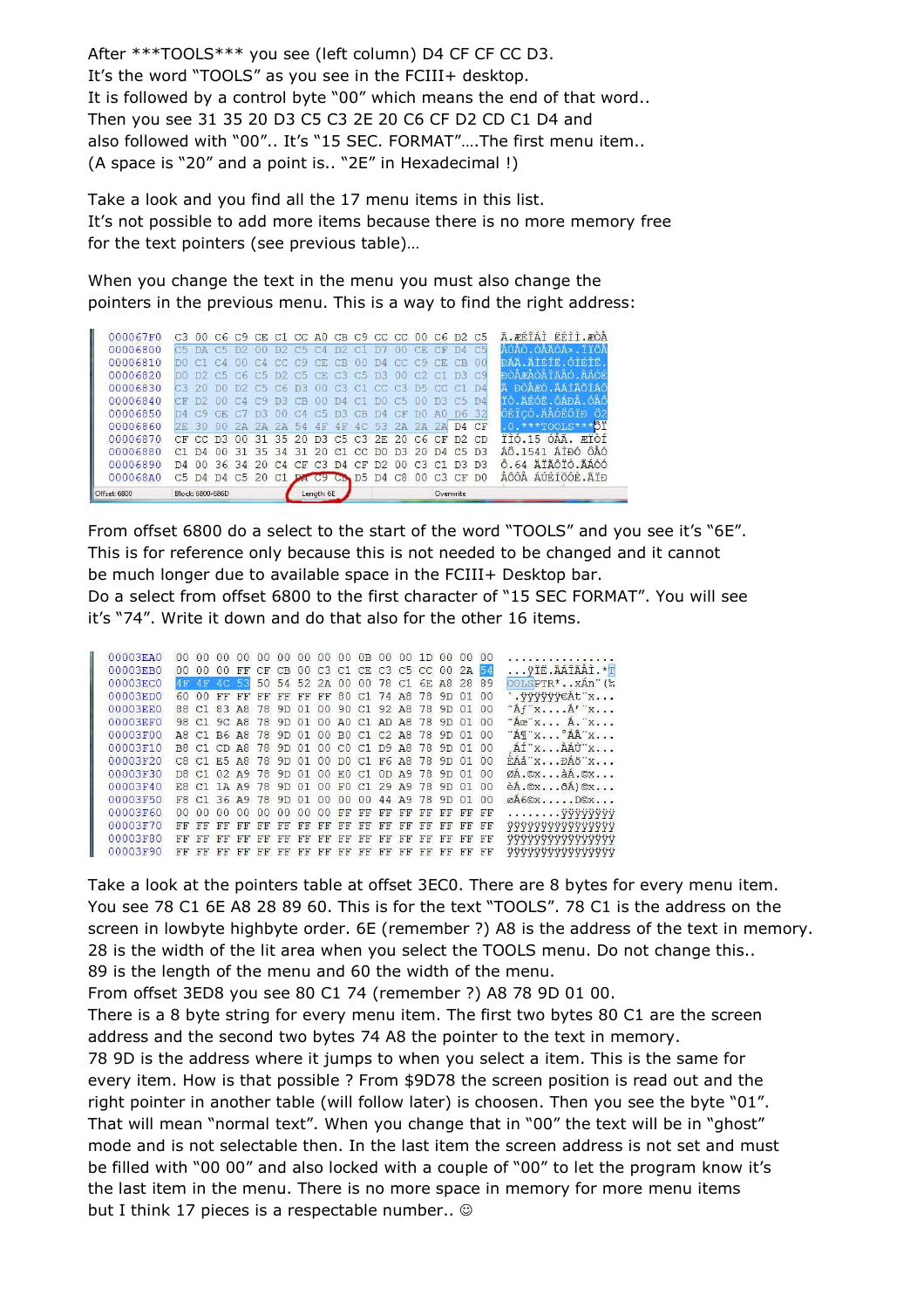After \*\*\*TOOLS\*\*\* you see (left column) D4 CF CF CC D3. It's the word "TOOLS" as you see in the FCIII+ desktop. It is followed by a control byte "00" which means the end of that word.. Then you see 31 35 20 D3 C5 C3 2E 20 C6 CF D2 CD C1 D4 and also followed with "00".. It's "15 SEC. FORMAT"….The first menu item.. (A space is "20" and a point is.. "2E" in Hexadecimal !)

Take a look and you find all the 17 menu items in this list. It's not possible to add more items because there is no more memory free for the text pointers (see previous table)…

When you change the text in the menu you must also change the pointers in the previous menu. This is a way to find the right address:

| 000067F0     |                |               |                  |                |                       |                |           |                       | C3 00 C6 C9 CE C1 CC A0 CB C9 CC CC 00 C6 D2 C5 |                |                 |                |                |                |               |                                             | à FÉTÁT EETT FÒÅ            |
|--------------|----------------|---------------|------------------|----------------|-----------------------|----------------|-----------|-----------------------|-------------------------------------------------|----------------|-----------------|----------------|----------------|----------------|---------------|---------------------------------------------|-----------------------------|
| 00006800     | C5             | <b>DA</b>     | C5               | $-12$          | $\Omega$ <sup>0</sup> | D2             | C5        | CA                    | D2.                                             | $\subset$      | $\Box$          | 00             | CF             |                |               | C <sub>5</sub>                              |                             |
| 00006810     |                |               | CA               |                | C <sub>A</sub>        | CC             | C9        | C <sub>E</sub>        | CR                                              |                | DA.             | cc             | CQ             |                |               | 00                                          | ĐÁÄ ĂŤŔŤŘ.ÔŤŔŤŘ             |
| 00006820     | mn             | D2            |                  | C5C6           |                       | C5, D2         | C5        | CE.                   | C3                                              | C5             | DЗ              | 00             | C2             |                |               | C 9                                         | ĐÒ A FAO A TA AO. A AO F    |
| 00006830     | rз             | 20            | <b>DO</b>        | D2             | C5 C6                 |                | B3        | 00                    | C3                                              | C1             | CC <sup>2</sup> | C3             | 755            | CT             |               | $\mathbb{D}$ <sup><math>\Delta</math></sup> | <b>DOAFO.AATAGTAC</b><br>A  |
| 00006840     | СF             | -n9           | 00               | $-14$          | CQ                    | TIR.           | <b>CB</b> | $\Omega$ <sub>0</sub> | TA                                              | C <sub>1</sub> | ÐO.             | C5             | n <sub>0</sub> | DR.            | <b>CR</b>     | TA                                          | ŤÒ.ÄÉÓË.ÔÁÐÅ.ÓÅÔ            |
| 00006850     | ΠYΔ            | CQ            | CE               |                | DS                    | 00             | CA        | C <sub>5</sub>        | D <sub>3</sub>                                  | CR             | DA              | CF             | D()            | A()            | DE            | -32                                         | ÔÉÎCÓ.ÄÅÓËÔÏĐ               |
| 00006860     | 2五             | 30            | 0.0              | 2 <sub>D</sub> | 2A                    | 2A             | 54        | 4F                    | 4F                                              | AC             | 53              | 2 <sub>D</sub> | 2A             |                | $\mathsf{D}4$ | CF                                          | $***$ TOOLS***              |
| 00006870     | CF             | CC.           | D3               | 00             | 31                    | 35             | 20        | D <sub>3</sub>        | C <sub>5</sub> C <sub>3</sub>                   |                | 2F              | $20^{\circ}$   | C6             | CF             | D2            | CD                                          | TÌÓ. 15 ÓÅÃ.<br><b>FTOT</b> |
| 00006880     | C <sub>1</sub> | $\mathsf{D}4$ | 00               |                | 31 35                 | 34             | $-31$     | 20                    | $C1$ $C2$                                       |                | D <sub>0</sub>  | D.3            | 20             | $\mathbf{D}$   | C5            | D <sub>3</sub>                              | ÁÔ.1541 ÁÌĐÓ ÔAÓ            |
| 00006890     | $\mathsf{D}4$  | 00            |                  | 36 34          | 20                    | C <sub>4</sub> | CF        |                       | $C3$ D4                                         | CF             | D2              | 00.            | $C3$ $C1$      |                |               | D3 D3                                       | Ô.64 ĂTÃÔTÒ.ÃÁÓÓ            |
| 000068A0     | C5             | D4            | DA               | C5             | 20                    | C <sub>1</sub> |           |                       | <b>DA C9 CD D5</b>                              |                | D <sub>4</sub>  | C8             | 00             | C <sub>3</sub> | $C_{\rm F}$   | DO                                          | AÔÔÅ ÁÚÉÍÕÔÈ.ÃÏĐ            |
| Offset: 6800 |                |               | Block: 6800-686D |                |                       |                |           | Length: 6E            |                                                 |                |                 |                |                | Overwrite      |               |                                             |                             |

From offset 6800 do a select to the start of the word "TOOLS" and you see it's "6E". This is for reference only because this is not needed to be changed and it cannot be much longer due to available space in the FCIII+ Desktop bar. Do a select from offset 6800 to the first character of "15 SEC FORMAT". You will see it's "74". Write it down and do that also for the other 16 items.

| 00003EA0 |                |                |             | 00                | 00         | 00 <sup>1</sup> | 00 <sup>o</sup> | 00             | 0 <sup>0</sup> | $0B$ 00              |           | 00        | 1D00                       |                |    | 00             |                                                                                                  |
|----------|----------------|----------------|-------------|-------------------|------------|-----------------|-----------------|----------------|----------------|----------------------|-----------|-----------|----------------------------|----------------|----|----------------|--------------------------------------------------------------------------------------------------|
| 00003EB0 |                | 0 <sup>0</sup> | 00          | FF                | CF         |                 |                 |                |                |                      |           |           | CB 00 C3 C1 CE C3 C5 CC 00 |                | 2A |                | VIE ÃÁÎÃÅÌ. *T                                                                                   |
| 00003EC0 | 4F             | 4F             | AC          | 53                | 50         |                 |                 |                |                | 54 52 2A 00 00 78 C1 |           |           |                            | 6E A8          | 28 | 89             | $00LSPTR$ * $X$ Ån $\dddot{\ }$                                                                  |
| 00003ED0 | 60             | 00             | FF          | FF                | FF         | FF              | FF              | FF             |                | 80 C1 74 A8          |           |           | 78                         | 9D             | 01 | 00             | `.VVVVVV€Át¨x                                                                                    |
| 00003EE0 | 88             | C <sub>1</sub> | 83          | A8                | 78         | 9D              | 01              | 00             | 90             | $C1$ 92 A8           |           |           | 78                         | 9D             | 01 | 00             | $A f'' x \ldots A'' x \ldots$                                                                    |
| 00003EF0 | 98             |                |             | C1 9C A8 78 9D    |            |                 | 01              | 0 <sup>0</sup> |                | $AO$ $C1$ $AD$ $AB$  |           |           | 78                         | 9D             | 01 | 00             | $A\circ X$ $\wedge$ $X$                                                                          |
| 00003F00 |                |                | A8 C1 B6 A8 |                   | 78         | 9D              | 01              | 0 <sup>0</sup> | B <sub>0</sub> | $C1$ $C2$ $A8$       |           |           | 78                         | 9 <sub>D</sub> | 01 | 00             | $\mathbf{A} \mathbf{T} \mathbf{x} \dots \mathbf{A} \mathbf{A} \mathbf{x} \dots$                  |
| 00003F10 |                |                |             | B8 C1 CD A8 78 9D |            |                 | 01              |                |                | 00 CO C1 D9 A8       |           |           | 78                         | 9D             | 01 | 0 <sup>0</sup> | AI x AAU x                                                                                       |
| 00003F20 |                |                |             | C8 C1 E5 A8 78    |            | 9D              | 01              | 0 <sup>0</sup> |                |                      |           |           | DO C1 F6 A8 78             | 9D             | 01 | 0 <sup>0</sup> | RAA''xPA''x                                                                                      |
| 00003F30 |                | D8 C1          |             | 02, 49, 78        |            | 9 <sub>D</sub>  | 01              | 0 <sup>0</sup> | F.0            | C1                   | $0D$ $A9$ |           | 78                         | 9 <sub>D</sub> | 01 | 00             | ØA.ØXàA.ØX                                                                                       |
| 00003F40 |                |                |             | E8 C1 1A A9 78    |            | 9D              | 01              | 00             | F()            | C129A9               |           |           | 78                         | 9D             | 01 | 0 <sup>0</sup> | $eA \cdot \mathbb{O}X \cdot \cdot \cdot \cdot \cdot \cdot A \cdot \mathbb{O}X \cdot \cdot \cdot$ |
| 00003F50 | F <sub>8</sub> |                |             | $C1$ 36 A9 78     |            | 9D              | 01              | 0 <sup>0</sup> | 00             | 00                   |           | 44, 49    | 78                         | 9 <sub>D</sub> | 01 | 00             | $\emptyset$ A6© $X$ $DCX$                                                                        |
| 00003F60 | 00.            | 00             | 00          | 00                | 00         | 00              | 00              | 00             | FF             | FF                   | FF.       | FF        | FF                         | FF             | FF | FF             | yyyyyyy                                                                                          |
| 00003F70 | FF             | FF             | FF          | FF                | FF         | FF              | FF              | FF             | FF             | FF                   | FF        | FF        | FF                         | FF             | FF | FF             | <u>VYYYYYYYYYYYYYY</u>                                                                           |
| 00003F80 | FF             |                | <b>FF</b>   | <b>H.H.</b>       | <b>H,H</b> | FF              | <b>H.H.</b>     | FF             | FF             | FF                   | FF        | <b>EE</b> | <b>H,H</b>                 | FF             | FF | FF             | <b>VVVVVVVVVVVVVVV</b>                                                                           |
| 00003F90 | H.H.           | FF             | FF          | FF                | FF         | FF              | FF              | FF             | FF             | FF                   | FF        | FF        | FF                         | FF             | FF | FF             | <b><i><u>VYYYYYYYYYYYYYYY</u></i></b>                                                            |

Take a look at the pointers table at offset 3EC0. There are 8 bytes for every menu item. You see 78 C1 6E A8 28 89 60. This is for the text "TOOLS". 78 C1 is the address on the screen in lowbyte highbyte order. 6E (remember ?) A8 is the address of the text in memory. 28 is the width of the lit area when you select the TOOLS menu. Do not change this.. 89 is the length of the menu and 60 the width of the menu.

From offset 3ED8 you see 80 C1 74 (remember ?) A8 78 9D 01 00.

There is a 8 byte string for every menu item. The first two bytes 80 C1 are the screen address and the second two bytes 74 A8 the pointer to the text in memory.

78 9D is the address where it jumps to when you select a item. This is the same for every item. How is that possible ? From \$9D78 the screen position is read out and the right pointer in another table (will follow later) is choosen. Then you see the byte "01". That will mean "normal text". When you change that in "00" the text will be in "ghost" mode and is not selectable then. In the last item the screen address is not set and must be filled with "00 00" and also locked with a couple of "00" to let the program know it's the last item in the menu. There is no more space in memory for more menu items but I think 17 pieces is a respectable number..  $\odot$